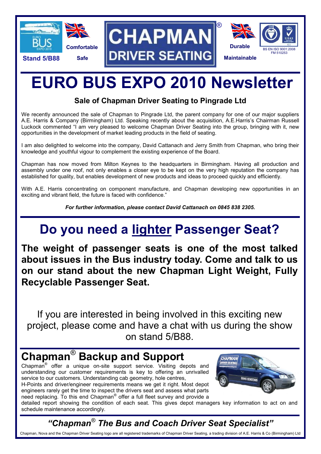

# **EURO BUS EXPO 2010 Newsletter**

### **Sale of Chapman Driver Seating to Pingrade Ltd**

We recently announced the sale of Chapman to Pingrade Ltd, the parent company for one of our major suppliers A.E. Harris & Company (Birmingham) Ltd. Speaking recently about the acquisition, A.E.Harris's Chairman Russell Luckock commented "I am very pleased to welcome Chapman Driver Seating into the group, bringing with it, new opportunities in the development of market leading products in the field of seating.

I am also delighted to welcome into the company, David Cattanach and Jerry Smith from Chapman, who bring their knowledge and youthful vigour to complement the existing experience of the Board.

Chapman has now moved from Milton Keynes to the headquarters in Birmingham. Having all production and assembly under one roof, not only enables a closer eye to be kept on the very high reputation the company has established for quality, but enables development of new products and ideas to proceed quickly and efficiently.

With A.E. Harris concentrating on component manufacture, and Chapman developing new opportunities in an exciting and vibrant field, the future is faced with confidence."

*For further information, please contact David Cattanach on 0845 838 2305.*

## **Do you need a lighter Passenger Seat?**

**The weight of passenger seats is one of the most talked about issues in the Bus industry today. Come and talk to us on our stand about the new Chapman Light Weight, Fully Recyclable Passenger Seat.**

If you are interested in being involved in this exciting new project, please come and have a chat with us during the show on stand 5/B88.

### **Chapman**® **Backup and Support**

Chapman® offer a unique on-site support service. Visiting depots and understanding our customer requirements is key to offering an unrivalled service to our customers. Understanding cab geometry, hole centres, H-Points and driver/engineer requirements means we get it right. Most depot engineers rarely get the time to inspect the drivers seat and assess what parts



need replacing. To this end Chapman<sup>®</sup> offer a full fleet survey and provide a detailed report showing the condition of each seat. This gives depot managers key information to act on and schedule maintenance accordingly.

### *"Chapman® The Bus and Coach Driver Seat Specialist"*

Chapman, Nova and the Chapman Driver Seating logo are all registered trademarks of Chapman Driver Seating, a trading division of A.E. Harris & Co (Birmingham) Ltd